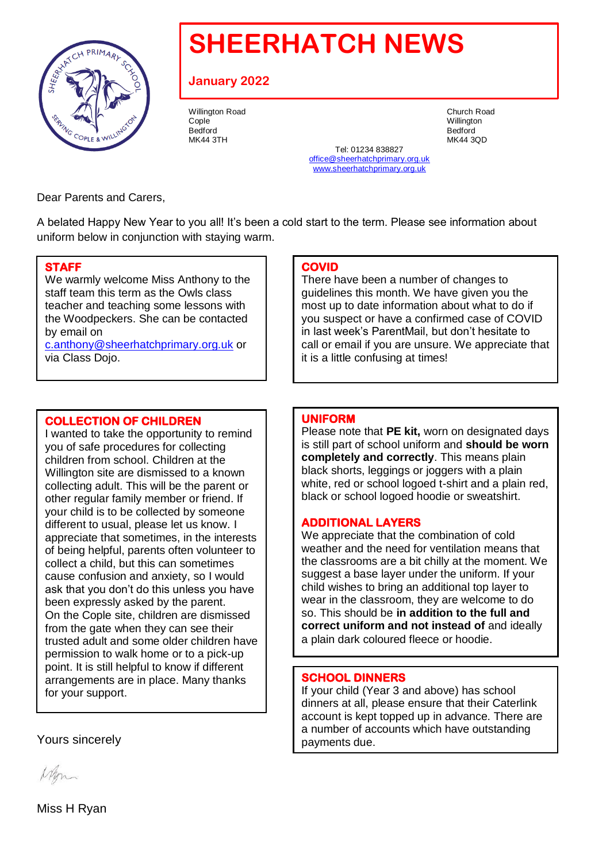

# **SHEERHATCH NEWS**

# **January 2022**

Willington Road **Church Road** Church Road **Church Road** Cople Willington Bedford Bedford

MK44 3TH MK44 3QD Tel: 01234 838827 office@sheerhatchprimary.org.uk www.sheerhatchprimary.org.uk

Dear Parents and Carers,

A belated Happy New Year to you all! It's been a cold start to the term. Please see information about uniform below in conjunction with staying warm.

#### **STAFF**

We warmly welcome Miss Anthony to the staff team this term as the Owls class teacher and teaching some lessons with the Woodpeckers. She can be contacted by email on [c.anthony@sheerhatchprimary.org.uk](mailto:c.anthony@sheerhatchprimary.org.uk) or

via Class Dojo.

## **COLLECTION OF CHILDREN**

I wanted to take the opportunity to remind you of safe procedures for collecting children from school. Children at the Willington site are dismissed to a known collecting adult. This will be the parent or other regular family member or friend. If your child is to be collected by someone different to usual, please let us know. I appreciate that sometimes, in the interests of being helpful, parents often volunteer to collect a child, but this can sometimes cause confusion and anxiety, so I would ask that you don't do this unless you have been expressly asked by the parent. On the Cople site, children are dismissed from the gate when they can see their trusted adult and some older children have permission to walk home or to a pick-up point. It is still helpful to know if different arrangements are in place. Many thanks for your support.

Yours sincerely

Whom

Miss H Ryan

#### **COVID**

There have been a number of changes to guidelines this month. We have given you the most up to date information about what to do if you suspect or have a confirmed case of COVID in last week's ParentMail, but don't hesitate to call or email if you are unsure. We appreciate that it is a little confusing at times!

### **UNIFORM**

Please note that **PE kit,** worn on designated days is still part of school uniform and **should be worn completely and correctly**. This means plain black shorts, leggings or joggers with a plain white, red or school logoed t-shirt and a plain red, black or school logoed hoodie or sweatshirt.

# **ADDITIONAL LAYERS**

We appreciate that the combination of cold weather and the need for ventilation means that the classrooms are a bit chilly at the moment. We suggest a base layer under the uniform. If your child wishes to bring an additional top layer to wear in the classroom, they are welcome to do so. This should be **in addition to the full and correct uniform and not instead of** and ideally a plain dark coloured fleece or hoodie.

#### **SCHOOL DINNERS**

If your child (Year 3 and above) has school dinners at all, please ensure that their Caterlink account is kept topped up in advance. There are a number of accounts which have outstanding payments due.